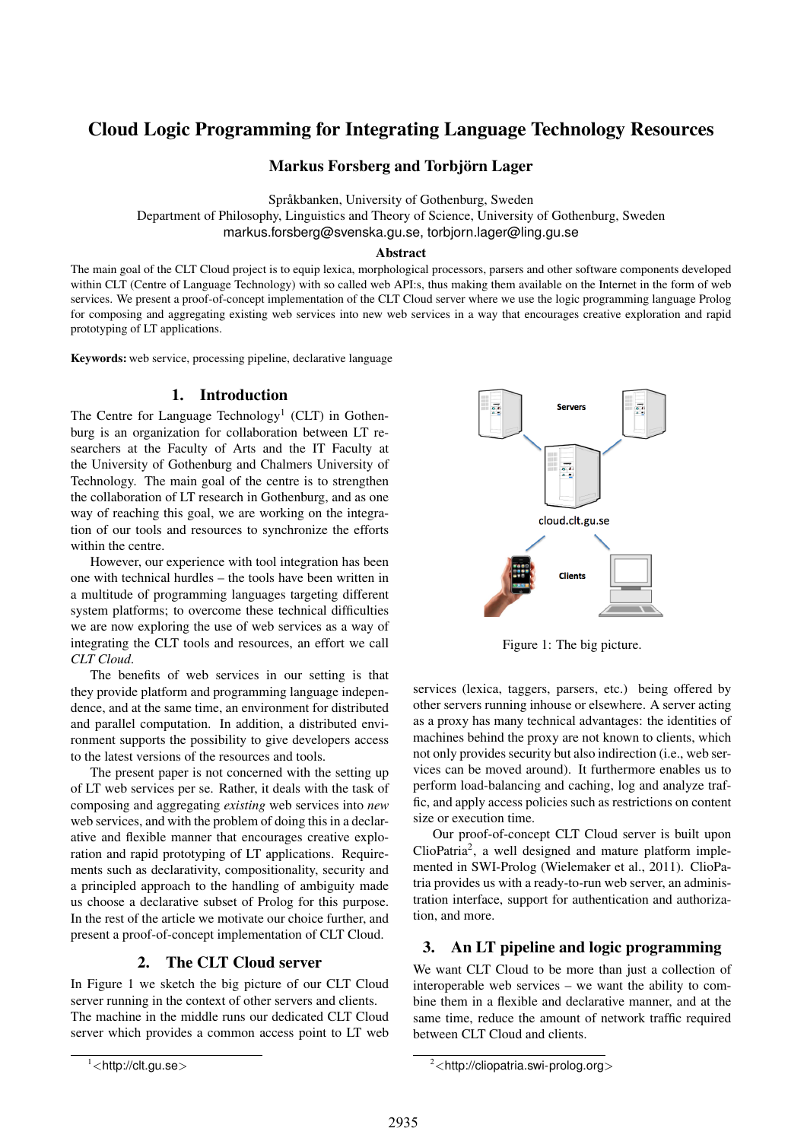# Cloud Logic Programming for Integrating Language Technology Resources

Markus Forsberg and Torbjörn Lager

Språkbanken, University of Gothenburg, Sweden

Department of Philosophy, Linguistics and Theory of Science, University of Gothenburg, Sweden markus.forsberg@svenska.gu.se, torbjorn.lager@ling.gu.se

#### Abstract

The main goal of the CLT Cloud project is to equip lexica, morphological processors, parsers and other software components developed within CLT (Centre of Language Technology) with so called web API:s, thus making them available on the Internet in the form of web services. We present a proof-of-concept implementation of the CLT Cloud server where we use the logic programming language Prolog for composing and aggregating existing web services into new web services in a way that encourages creative exploration and rapid prototyping of LT applications.

Keywords: web service, processing pipeline, declarative language

#### 1. Introduction

The Centre for Language Technology<sup>1</sup> (CLT) in Gothenburg is an organization for collaboration between LT researchers at the Faculty of Arts and the IT Faculty at the University of Gothenburg and Chalmers University of Technology. The main goal of the centre is to strengthen the collaboration of LT research in Gothenburg, and as one way of reaching this goal, we are working on the integration of our tools and resources to synchronize the efforts within the centre.

However, our experience with tool integration has been one with technical hurdles – the tools have been written in a multitude of programming languages targeting different system platforms; to overcome these technical difficulties we are now exploring the use of web services as a way of integrating the CLT tools and resources, an effort we call *CLT Cloud*.

The benefits of web services in our setting is that they provide platform and programming language independence, and at the same time, an environment for distributed and parallel computation. In addition, a distributed environment supports the possibility to give developers access to the latest versions of the resources and tools.

The present paper is not concerned with the setting up of LT web services per se. Rather, it deals with the task of composing and aggregating *existing* web services into *new* web services, and with the problem of doing this in a declarative and flexible manner that encourages creative exploration and rapid prototyping of LT applications. Requirements such as declarativity, compositionality, security and a principled approach to the handling of ambiguity made us choose a declarative subset of Prolog for this purpose. In the rest of the article we motivate our choice further, and present a proof-of-concept implementation of CLT Cloud.

#### 2. The CLT Cloud server

In Figure 1 we sketch the big picture of our CLT Cloud server running in the context of other servers and clients. The machine in the middle runs our dedicated CLT Cloud server which provides a common access point to LT web



Figure 1: The big picture.

services (lexica, taggers, parsers, etc.) being offered by other servers running inhouse or elsewhere. A server acting as a proxy has many technical advantages: the identities of machines behind the proxy are not known to clients, which not only provides security but also indirection (i.e., web services can be moved around). It furthermore enables us to perform load-balancing and caching, log and analyze traffic, and apply access policies such as restrictions on content size or execution time.

Our proof-of-concept CLT Cloud server is built upon ClioPatria<sup>2</sup> , a well designed and mature platform implemented in SWI-Prolog (Wielemaker et al., 2011). ClioPatria provides us with a ready-to-run web server, an administration interface, support for authentication and authorization, and more.

#### 3. An LT pipeline and logic programming

We want CLT Cloud to be more than just a collection of interoperable web services – we want the ability to combine them in a flexible and declarative manner, and at the same time, reduce the amount of network traffic required between CLT Cloud and clients.

 $1$  <http://clt.gu.se>

 $2$ <http://cliopatria.swi-prolog.org>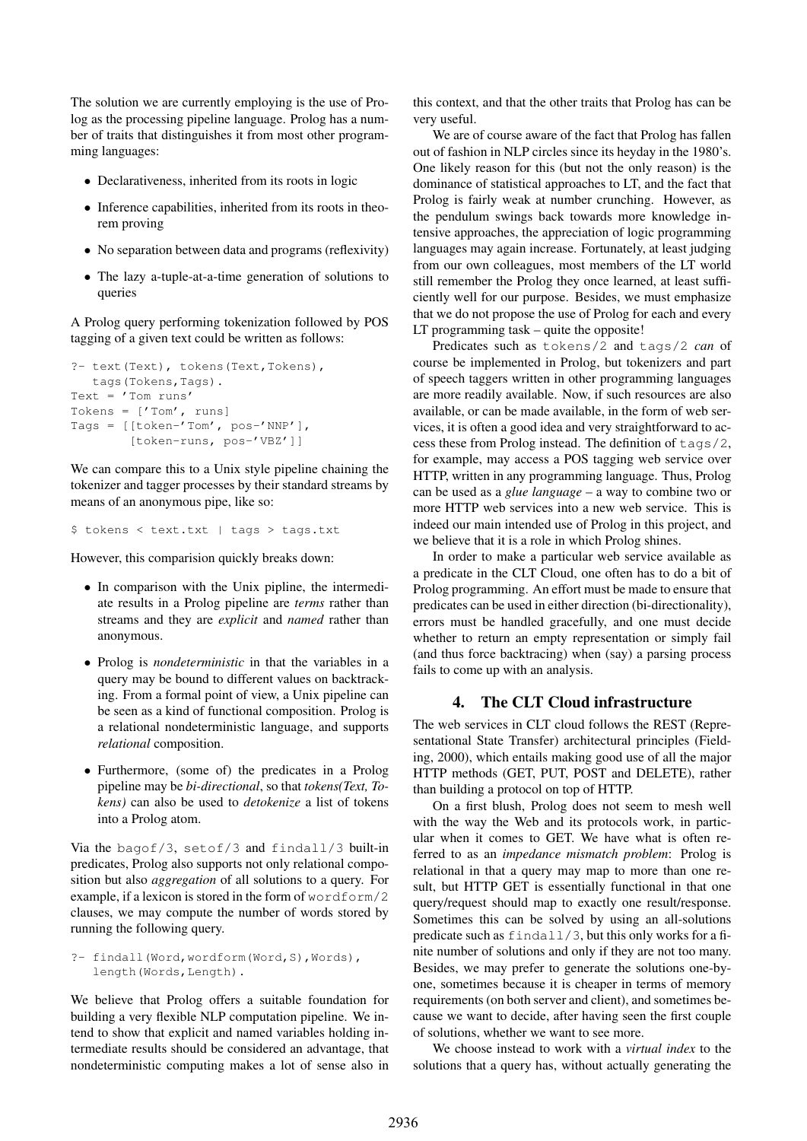The solution we are currently employing is the use of Prolog as the processing pipeline language. Prolog has a number of traits that distinguishes it from most other programming languages:

- Declarativeness, inherited from its roots in logic
- Inference capabilities, inherited from its roots in theorem proving
- No separation between data and programs (reflexivity)
- The lazy a-tuple-at-a-time generation of solutions to queries

A Prolog query performing tokenization followed by POS tagging of a given text could be written as follows:

```
?- text(Text), tokens(Text,Tokens),
   tags(Tokens,Tags).
Text = ' Tom runs'
Tokens = ['Tom', runs]Tags = [[token-'Tom', pos-'NNP'],
        [token-runs, pos-'VBZ']]
```
We can compare this to a Unix style pipeline chaining the tokenizer and tagger processes by their standard streams by means of an anonymous pipe, like so:

```
$ tokens < text.txt | tags > tags.txt
```
However, this comparision quickly breaks down:

- In comparison with the Unix pipline, the intermediate results in a Prolog pipeline are *terms* rather than streams and they are *explicit* and *named* rather than anonymous.
- Prolog is *nondeterministic* in that the variables in a query may be bound to different values on backtracking. From a formal point of view, a Unix pipeline can be seen as a kind of functional composition. Prolog is a relational nondeterministic language, and supports *relational* composition.
- Furthermore, (some of) the predicates in a Prolog pipeline may be *bi-directional*, so that *tokens(Text, Tokens)* can also be used to *detokenize* a list of tokens into a Prolog atom.

Via the bagof/3, setof/3 and findall/3 built-in predicates, Prolog also supports not only relational composition but also *aggregation* of all solutions to a query. For example, if a lexicon is stored in the form of wordform/2 clauses, we may compute the number of words stored by running the following query.

```
?- findall(Word,wordform(Word,S),Words),
   length(Words, Length).
```
We believe that Prolog offers a suitable foundation for building a very flexible NLP computation pipeline. We intend to show that explicit and named variables holding intermediate results should be considered an advantage, that nondeterministic computing makes a lot of sense also in this context, and that the other traits that Prolog has can be very useful.

We are of course aware of the fact that Prolog has fallen out of fashion in NLP circles since its heyday in the 1980's. One likely reason for this (but not the only reason) is the dominance of statistical approaches to LT, and the fact that Prolog is fairly weak at number crunching. However, as the pendulum swings back towards more knowledge intensive approaches, the appreciation of logic programming languages may again increase. Fortunately, at least judging from our own colleagues, most members of the LT world still remember the Prolog they once learned, at least sufficiently well for our purpose. Besides, we must emphasize that we do not propose the use of Prolog for each and every LT programming task – quite the opposite!

Predicates such as tokens/2 and tags/2 *can* of course be implemented in Prolog, but tokenizers and part of speech taggers written in other programming languages are more readily available. Now, if such resources are also available, or can be made available, in the form of web services, it is often a good idea and very straightforward to access these from Prolog instead. The definition of tags/2, for example, may access a POS tagging web service over HTTP, written in any programming language. Thus, Prolog can be used as a *glue language* – a way to combine two or more HTTP web services into a new web service. This is indeed our main intended use of Prolog in this project, and we believe that it is a role in which Prolog shines.

In order to make a particular web service available as a predicate in the CLT Cloud, one often has to do a bit of Prolog programming. An effort must be made to ensure that predicates can be used in either direction (bi-directionality), errors must be handled gracefully, and one must decide whether to return an empty representation or simply fail (and thus force backtracing) when (say) a parsing process fails to come up with an analysis.

#### 4. The CLT Cloud infrastructure

The web services in CLT cloud follows the REST (Representational State Transfer) architectural principles (Fielding, 2000), which entails making good use of all the major HTTP methods (GET, PUT, POST and DELETE), rather than building a protocol on top of HTTP.

On a first blush, Prolog does not seem to mesh well with the way the Web and its protocols work, in particular when it comes to GET. We have what is often referred to as an *impedance mismatch problem*: Prolog is relational in that a query may map to more than one result, but HTTP GET is essentially functional in that one query/request should map to exactly one result/response. Sometimes this can be solved by using an all-solutions predicate such as findall/3, but this only works for a finite number of solutions and only if they are not too many. Besides, we may prefer to generate the solutions one-byone, sometimes because it is cheaper in terms of memory requirements (on both server and client), and sometimes because we want to decide, after having seen the first couple of solutions, whether we want to see more.

We choose instead to work with a *virtual index* to the solutions that a query has, without actually generating the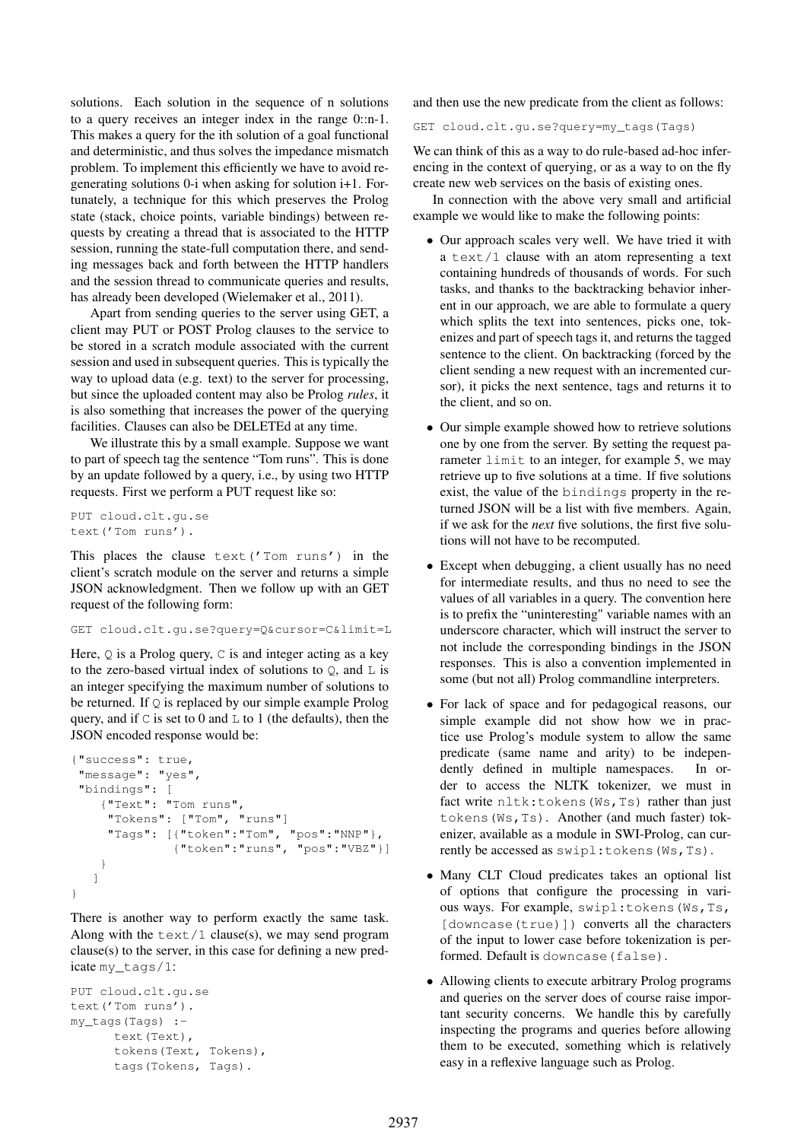solutions. Each solution in the sequence of n solutions to a query receives an integer index in the range 0::n-1. This makes a query for the ith solution of a goal functional and deterministic, and thus solves the impedance mismatch problem. To implement this efficiently we have to avoid regenerating solutions 0-i when asking for solution i+1. Fortunately, a technique for this which preserves the Prolog state (stack, choice points, variable bindings) between requests by creating a thread that is associated to the HTTP session, running the state-full computation there, and sending messages back and forth between the HTTP handlers and the session thread to communicate queries and results, has already been developed (Wielemaker et al., 2011).

Apart from sending queries to the server using GET, a client may PUT or POST Prolog clauses to the service to be stored in a scratch module associated with the current session and used in subsequent queries. This is typically the way to upload data (e.g. text) to the server for processing, but since the uploaded content may also be Prolog *rules*, it is also something that increases the power of the querying facilities. Clauses can also be DELETEd at any time.

We illustrate this by a small example. Suppose we want to part of speech tag the sentence "Tom runs". This is done by an update followed by a query, i.e., by using two HTTP requests. First we perform a PUT request like so:

```
PUT cloud.clt.gu.se
text('Tom runs').
```
This places the clause text('Tom runs') in the client's scratch module on the server and returns a simple JSON acknowledgment. Then we follow up with an GET request of the following form:

```
GET cloud.clt.gu.se?query=Q&cursor=C&limit=L
```
Here,  $Q$  is a Prolog query,  $C$  is and integer acting as a key to the zero-based virtual index of solutions to  $Q$ , and  $L$  is an integer specifying the maximum number of solutions to be returned. If  $Q$  is replaced by our simple example Prolog query, and if  $\mathcal C$  is set to 0 and  $\mathcal L$  to 1 (the defaults), then the JSON encoded response would be:

```
{"success": true,
 "message": "yes",
 "bindings": [
   {"Text": "Tom runs",
     "Tokens": ["Tom", "runs"]
     "Tags": [{"token":"Tom", "pos":"NNP"},
              {"token":"runs", "pos":"VBZ"}]
    }
   ]
}
```
There is another way to perform exactly the same task. Along with the  $text/1 clause(s)$ , we may send program clause(s) to the server, in this case for defining a new predicate my\_tags/1:

```
PUT cloud.clt.gu.se
text('Tom runs').
my_tags(Tags) :-
     text(Text),
      tokens(Text, Tokens),
      tags(Tokens, Tags).
```
and then use the new predicate from the client as follows:

GET cloud.clt.gu.se?query=my\_tags(Tags)

We can think of this as a way to do rule-based ad-hoc inferencing in the context of querying, or as a way to on the fly create new web services on the basis of existing ones.

In connection with the above very small and artificial example we would like to make the following points:

- Our approach scales very well. We have tried it with a text/1 clause with an atom representing a text containing hundreds of thousands of words. For such tasks, and thanks to the backtracking behavior inherent in our approach, we are able to formulate a query which splits the text into sentences, picks one, tokenizes and part of speech tags it, and returns the tagged sentence to the client. On backtracking (forced by the client sending a new request with an incremented cursor), it picks the next sentence, tags and returns it to the client, and so on.
- Our simple example showed how to retrieve solutions one by one from the server. By setting the request parameter limit to an integer, for example 5, we may retrieve up to five solutions at a time. If five solutions exist, the value of the bindings property in the returned JSON will be a list with five members. Again, if we ask for the *next* five solutions, the first five solutions will not have to be recomputed.
- Except when debugging, a client usually has no need for intermediate results, and thus no need to see the values of all variables in a query. The convention here is to prefix the "uninteresting" variable names with an underscore character, which will instruct the server to not include the corresponding bindings in the JSON responses. This is also a convention implemented in some (but not all) Prolog commandline interpreters.
- For lack of space and for pedagogical reasons, our simple example did not show how we in practice use Prolog's module system to allow the same predicate (same name and arity) to be independently defined in multiple namespaces. In order to access the NLTK tokenizer, we must in fact write nltk: tokens (Ws, Ts) rather than just tokens(Ws,Ts). Another (and much faster) tokenizer, available as a module in SWI-Prolog, can currently be accessed as swipl:tokens(Ws,Ts).
- Many CLT Cloud predicates takes an optional list of options that configure the processing in various ways. For example, swipl:tokens(Ws,Ts, [downcase(true)]) converts all the characters of the input to lower case before tokenization is performed. Default is downcase(false).
- Allowing clients to execute arbitrary Prolog programs and queries on the server does of course raise important security concerns. We handle this by carefully inspecting the programs and queries before allowing them to be executed, something which is relatively easy in a reflexive language such as Prolog.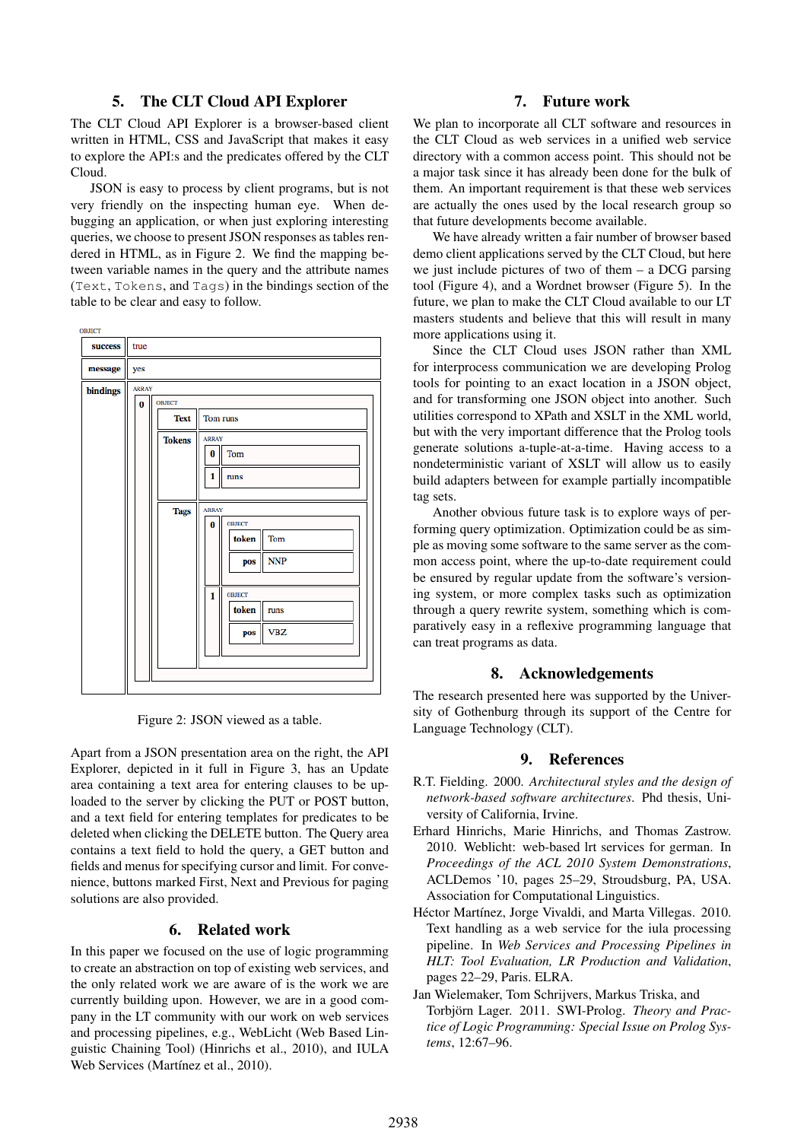#### 5. The CLT Cloud API Explorer

The CLT Cloud API Explorer is a browser-based client written in HTML, CSS and JavaScript that makes it easy to explore the API:s and the predicates offered by the CLT Cloud.

JSON is easy to process by client programs, but is not very friendly on the inspecting human eye. When debugging an application, or when just exploring interesting queries, we choose to present JSON responses as tables rendered in HTML, as in Figure 2. We find the mapping between variable names in the query and the attribute names (Text, Tokens, and Tags) in the bindings section of the table to be clear and easy to follow.



Figure 2: JSON viewed as a table.

Apart from a JSON presentation area on the right, the API Explorer, depicted in it full in Figure 3, has an Update area containing a text area for entering clauses to be uploaded to the server by clicking the PUT or POST button, and a text field for entering templates for predicates to be deleted when clicking the DELETE button. The Query area contains a text field to hold the query, a GET button and fields and menus for specifying cursor and limit. For convenience, buttons marked First, Next and Previous for paging solutions are also provided.

### 6. Related work

In this paper we focused on the use of logic programming to create an abstraction on top of existing web services, and the only related work we are aware of is the work we are currently building upon. However, we are in a good company in the LT community with our work on web services and processing pipelines, e.g., WebLicht (Web Based Linguistic Chaining Tool) (Hinrichs et al., 2010), and IULA Web Services (Martínez et al., 2010).

#### 7. Future work

We plan to incorporate all CLT software and resources in the CLT Cloud as web services in a unified web service directory with a common access point. This should not be a major task since it has already been done for the bulk of them. An important requirement is that these web services are actually the ones used by the local research group so that future developments become available.

We have already written a fair number of browser based demo client applications served by the CLT Cloud, but here we just include pictures of two of them – a DCG parsing tool (Figure 4), and a Wordnet browser (Figure 5). In the future, we plan to make the CLT Cloud available to our LT masters students and believe that this will result in many more applications using it.

Since the CLT Cloud uses JSON rather than XML for interprocess communication we are developing Prolog tools for pointing to an exact location in a JSON object, and for transforming one JSON object into another. Such utilities correspond to XPath and XSLT in the XML world, but with the very important difference that the Prolog tools generate solutions a-tuple-at-a-time. Having access to a nondeterministic variant of XSLT will allow us to easily build adapters between for example partially incompatible tag sets.

Another obvious future task is to explore ways of performing query optimization. Optimization could be as simple as moving some software to the same server as the common access point, where the up-to-date requirement could be ensured by regular update from the software's versioning system, or more complex tasks such as optimization through a query rewrite system, something which is comparatively easy in a reflexive programming language that can treat programs as data.

## 8. Acknowledgements

The research presented here was supported by the University of Gothenburg through its support of the Centre for Language Technology (CLT).

#### 9. References

- R.T. Fielding. 2000. *Architectural styles and the design of network-based software architectures*. Phd thesis, University of California, Irvine.
- Erhard Hinrichs, Marie Hinrichs, and Thomas Zastrow. 2010. Weblicht: web-based lrt services for german. In *Proceedings of the ACL 2010 System Demonstrations*, ACLDemos '10, pages 25–29, Stroudsburg, PA, USA. Association for Computational Linguistics.
- Héctor Martínez, Jorge Vivaldi, and Marta Villegas. 2010. Text handling as a web service for the iula processing pipeline. In *Web Services and Processing Pipelines in HLT: Tool Evaluation, LR Production and Validation*, pages 22–29, Paris. ELRA.
- Jan Wielemaker, Tom Schrijvers, Markus Triska, and Torbjörn Lager. 2011. SWI-Prolog. *Theory and Practice of Logic Programming: Special Issue on Prolog Systems*, 12:67–96.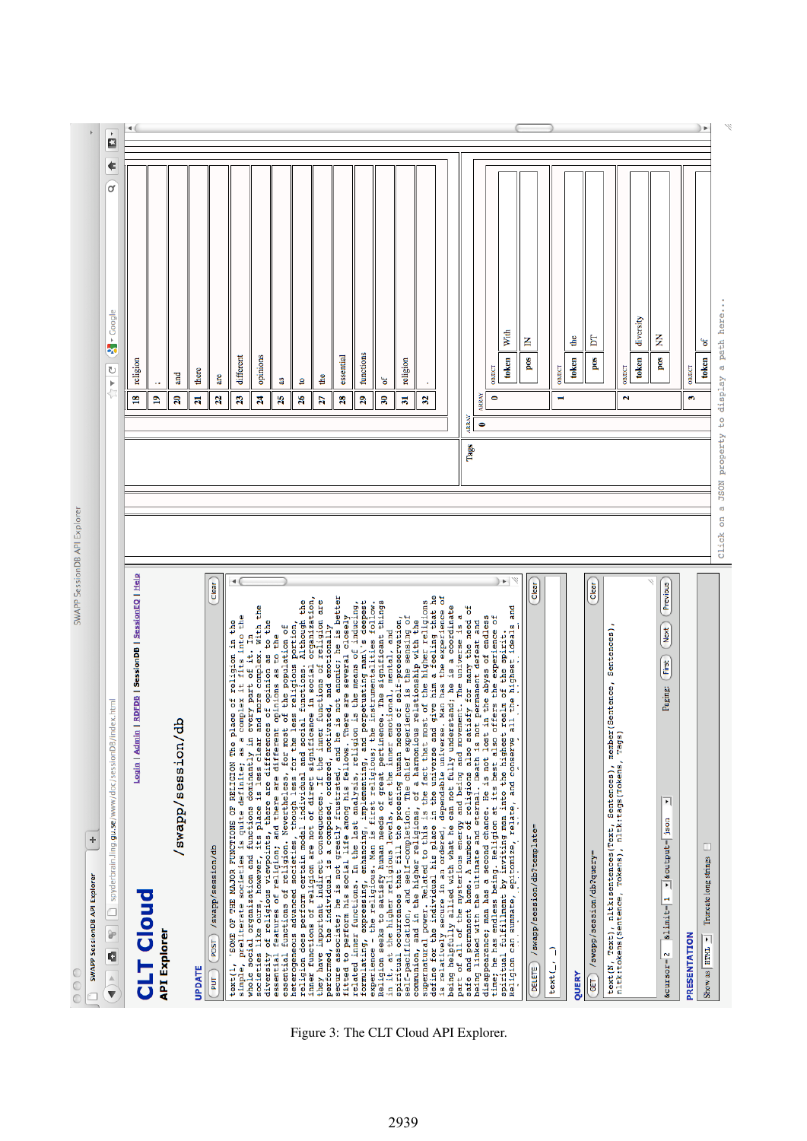| SWAPP SessionDB API Explore<br>÷<br>SWAPP SessionDB API Explorer<br>$\circ$                                                                                                                                                                     |                                                            |                                       |                            |
|-------------------------------------------------------------------------------------------------------------------------------------------------------------------------------------------------------------------------------------------------|------------------------------------------------------------|---------------------------------------|----------------------------|
| ex.html<br>$\blacktriangleleft$ $\blacktriangleright$ $\blacksquare$ spyderbrain.ling.gu.se/www/doc/sessionD8/ind                                                                                                                               | )<br>Pri                                                   | €<br>d<br>$\frac{1}{2}$ - Google<br>U | $\blacktriangleright$<br>Ø |
| <b>RDFDB   SessionDB   SessionEQ   Help</b><br>Login   Admin                                                                                                                                                                                    | $\mathbf{r}$                                               | religion                              |                            |
| <b>CLT Cloud</b><br><b>API Explorer</b>                                                                                                                                                                                                         | ×.<br>ఇ                                                    |                                       |                            |
| db/noisess/qqawa/                                                                                                                                                                                                                               | $\boldsymbol{\mathcal{Z}}$                                 | and                                   |                            |
| UPDATE                                                                                                                                                                                                                                          | $\overline{\mathbf{z}}$                                    | there                                 |                            |
| Clear<br>/swapp/session/db<br>POST<br>PUT                                                                                                                                                                                                       | 22                                                         | are                                   |                            |
| fits into the<br>in the<br>religion<br>preliterate societies is quite definite; as a complex it<br>'SOME OF THE MAJOR FUNCTIONS OF RELIGION The place of<br>text(1,<br>simple,                                                                  | 23                                                         | different                             |                            |
| whole social organization and functions dominantly in every part of it. In<br>societies like ours, however, its place is less clear and more complex. With the<br>diversity of religious viewpoints, there are differences of opinion as to the | A                                                          | opinions                              |                            |
| opinions as to the<br>features of religion; and there are different<br>essential                                                                                                                                                                | 25                                                         | æ                                     |                            |
| essential functions of religion. Nevertheless, for most of the population of<br>heterogeneous advanced societies, though less for the less religious portion,<br>ineligion does per religion model initiated and social intetions. A            | $\frac{8}{2}$                                              | $\mathbf{S}$                          |                            |
|                                                                                                                                                                                                                                                 | 27                                                         | dhe                                   |                            |
| he is better                                                                                                                                                                                                                                    | $\mathbf{z}$                                               | essential                             |                            |
| performed, the individual is a composed, ordered, motivated, and emotionally<br>fitted to perform his social life among his fellows. There are several closely<br>related inner functions. In the last analysis, religion is the mea            | 29                                                         | functions                             |                            |
| in it, at the higher religious levels of great-periums instrumentalities follow.<br>spiritual occurrences that fill the pressing human needs of self-preservation<br>self-pecification, and self-completion. The chief experience is            | R                                                          | ัธ                                    |                            |
|                                                                                                                                                                                                                                                 | F                                                          | religion                              |                            |
| give him a feeling that he<br>supernatural power. Related to this is the fact that most of the higher religions<br>define for the individual his place in the universe and give him a feeling that h                                            | S                                                          |                                       |                            |
| the experience of<br>is a coordinate<br>. Man has<br>being helpfully allied with what he can not fully understand; he<br>is relatively secure in an ordered, dependable universe                                                                |                                                            |                                       |                            |
| part of all of the mysterious energy and being and movement. The universe is a<br>safe and permanent home. A number of religions also satisfy for many the need of                                                                              | ARRAY                                                      |                                       |                            |
| being linked with the ultimate and eternal. Death is not permanent defeat and disappearancer man has a second chance. He is not lost in the abyss of endless<br>disappearancer man has a second chance. He is not lost in the aby               | ARRAY<br>$\bullet$<br>Tags                                 |                                       |                            |
| t in the abyss of endless<br>offers the experience of                                                                                                                                                                                           | 0                                                          | OBIBCT                                |                            |
| ۲<br>ideals and<br>alm of the spirit<br>the highest idea<br>$_{\rm al}$<br>Religion can summate, epitomize, relate, and conserve                                                                                                                |                                                            | With<br>token                         |                            |
| Clear<br>DELETE ) /swapp/session/db?template=                                                                                                                                                                                                   |                                                            | 叾<br>pos                              |                            |
| F<br>text(_/                                                                                                                                                                                                                                    |                                                            | OBJECT                                |                            |
| QUERY                                                                                                                                                                                                                                           |                                                            | å<br>token                            |                            |
| Clear<br>/swapp/session/db?query=<br>GET                                                                                                                                                                                                        |                                                            | Σ<br>pos                              |                            |
| Sentences)<br>Sentence,<br>text(N, Text), nltk:sentences(Text, Sentences), member<br>nltk:tokens(Sentence, Tokens), nltk:tags(Tokens, Tags)                                                                                                     |                                                            |                                       |                            |
|                                                                                                                                                                                                                                                 | Z                                                          | <b>OBJECT</b>                         |                            |
|                                                                                                                                                                                                                                                 |                                                            | diversity<br>token                    |                            |
| Previous<br>(Next<br>First<br>Paging:<br>$\overline{\phantom{0}}$<br>soutput=json<br>$\text{allimit} = 1$<br>$\texttt{scutsor}=2$                                                                                                               |                                                            | ξ<br>pos                              |                            |
| PRESENTATION                                                                                                                                                                                                                                    |                                                            | OBIECT                                |                            |
| с<br>Truncate long strings<br>Show as <b>HTML</b> I                                                                                                                                                                                             | s,                                                         | ್<br>token                            |                            |
| Click                                                                                                                                                                                                                                           | property to display a path here.<br><b>JSON</b><br>ď<br>on |                                       |                            |
|                                                                                                                                                                                                                                                 |                                                            |                                       |                            |

Figure 3: The CLT Cloud API Explorer.